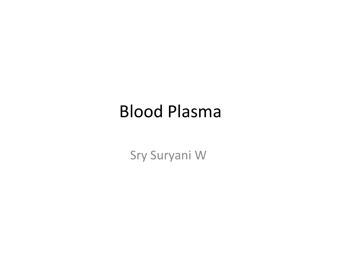### Blood Plasma

Sry Suryani <sup>W</sup>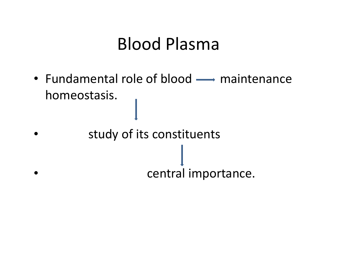### Blood Plasma

- Fundamental role of blood  $\longrightarrow$  maintenance homeostasis.
- • study of its constituents •central importance.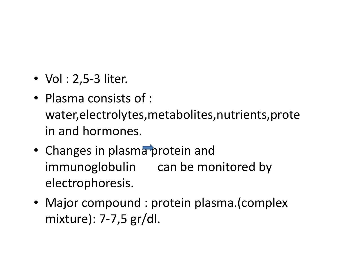- Vol : 2,5-3 liter.
- Plasma consists of : water,electrolytes,metabolites,nutrients,protein and hormones.
- Changes in plasma protein and immunoglobulin can be monitored by electrophoresis.
- Major compound : protein plasma.(complex mixture): 7-7,5 gr/dl.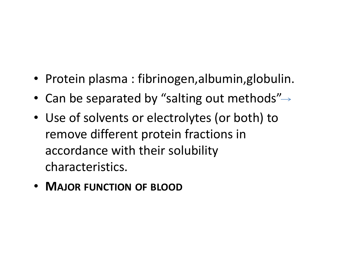- Protein plasma : fibrinogen,albumin,globulin.
- Can be separated by "salting out methods"
- Use of solvents or electrolytes (or both) to remove different protein fractions in accordance with their solubility characteristics.
- <sup>M</sup>AJOR FUNCTION OF BLOOD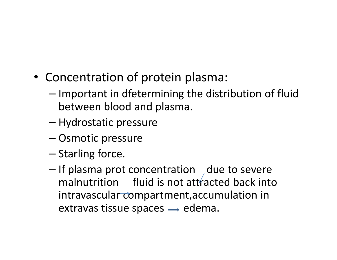- Concentration of protein plasma:
	- –- Important in dfetermining the distribution of fluid between blood and plasma.
	- –— Hydrostatic pressure
	- –— Osmotic pressure
	- – $-$  Starling force.
	- – $-$  If plasma prot concentration  $\int$  due to severe malnutrition fluid is not attracted back into intravascular compartment,accumulation in extravas tissue spaces  $\rightarrow$  edema.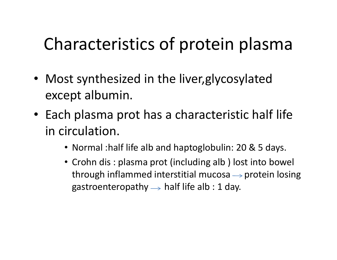## Characteristics of protein plasma

- Most synthesized in the liver,glycosylated except albumin.
- Each plasma prot has a characteristic half life in circulation.
	- Normal :half life alb and haptoglobulin: 20 & 5 days.
	- Crohn dis : plasma prot (including alb ) lost into bowel through inflammed interstitial mucosa  $\rightarrow$  protein losing gastroenteropathy  $\rightarrow$  half life alb : 1 day.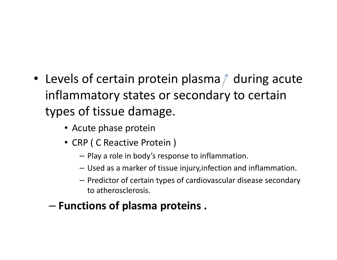- Levels of certain protein plasma $\wedge$  during acute inflammatory states or secondary to certain types of tissue damage.
	- Acute phase protein
	- CRP ( C Reactive Protein )
		- Play a role in body's response to inflammation.
		- Used as a marker of tissue injury,infection and inflammation.
		- Predictor of certain types of cardiovascular disease secondary to atherosclerosis.
	- –Functions of plasma proteins .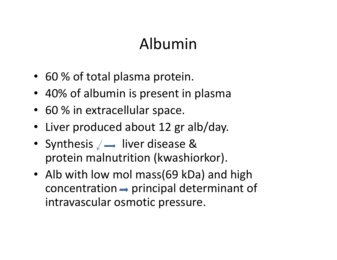#### Albumin

- 60 % of total plasma protein.
- 40% of albumin is present in plasma
- 60 % in extracellular space.
- Liver produced about 12 gr alb/day.
- Synthesis  $\angle \longrightarrow$  liver disease & protein malnutrition (kwashiorkor).
- Alb with low mol mass(69 kDa) and high  $concentration \rightarrow principal determinant of$ intravascular osmotic pressure.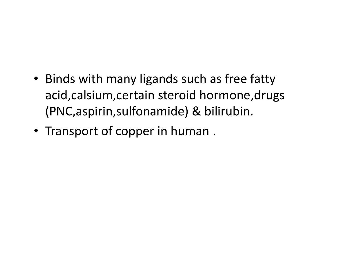- Binds with many ligands such as free fatty acid,calsium,certain steroid hormone,drugs (PNC,aspirin,sulfonamide) & bilirubin.
- Transport of copper in human .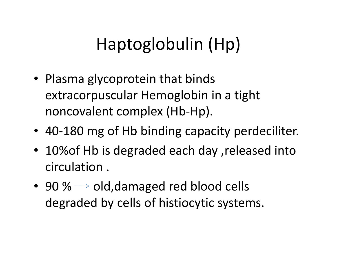# Haptoglobulin (Hp)

- Plasma glycoprotein that binds extracorpuscular Hemoglobin in a tight noncovalent complex (Hb-Hp).
- <sup>40</sup>-180 mg of Hb binding capacity perdeciliter.
- 10%of Hb is degraded each day ,released into circulation .
- 90 %  $\rightarrow$  old,damaged red blood cells degraded by cells of histiocytic systems.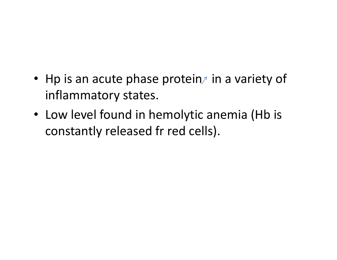- Hp is an acute phase protein $\wedge$  in a variety of inflammatory states.
- Low level found in hemolytic anemia (Hb is constantly released fr red cells).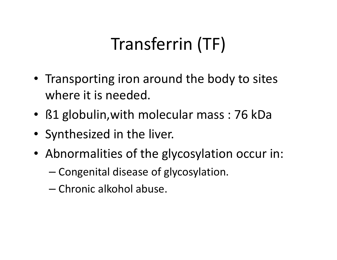# Transferrin (TF)

- Transporting iron around the body to sites where it is needed.
- ß1 globulin,with molecular mass : 76 kDa
- Synthesized in the liver.
- Abnormalities of the glycosylation occur in:
	- – $-$  Congenital disease of glycosylation.
	- – $-$  Chronic alkohol abuse.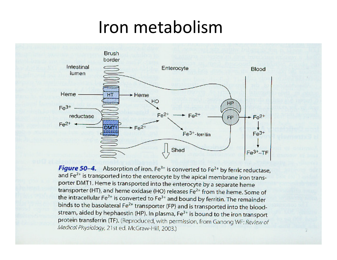#### Iron metabolism



Figure 50-4. Absorption of iron. Fe<sup>3+</sup> is converted to Fe<sup>2+</sup> by ferric reductase, and Fe<sup>2+</sup> is transported into the enterocyte by the apical membrane iron transporter DMT1. Heme is transported into the enterocyte by a separate heme transporter (HT), and heme oxidase (HO) releases Fe<sup>2+</sup> from the heme. Some of the intracellular Fe<sup>2+</sup> is converted to Fe<sup>3+</sup> and bound by ferritin. The remainder binds to the basolateral Fe<sup>2+</sup> transporter (FP) and is transported into the bloodstream, aided by hephaestin (HP). In plasma, Fe<sup>3+</sup> is bound to the iron transport protein transferrin (TF). (Reproduced, with permission, from Ganong WF: Review of Medical Physiology, 21st ed. McGraw-Hill, 2003.)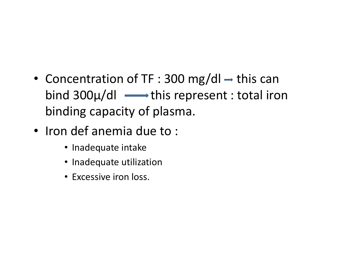- Concentration of TF : 300 mg/dl  $\rightarrow$  this can bind  $300\mu/d$   $\longrightarrow$  this represent : total iron binding capacity of plasma.
- Iron def anemia due to :
	- Inadequate intake
	- Inadequate utilization
	- Excessive iron loss.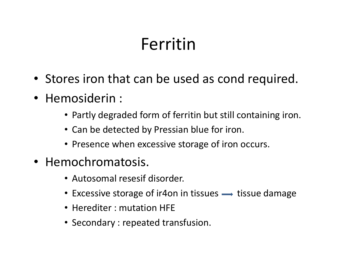## Ferritin

- Stores iron that can be used as cond required.
- Hemosiderin :
	- Partly degraded form of ferritin but still containing iron.
	- Can be detected by Pressian blue for iron.
	- Presence when excessive storage of iron occurs.
- Hemochromatosis.
	- Autosomal resesif disorder.
	- Excessive storage of ir4on in tissues  $\longrightarrow$  tissue damage
	- Herediter : mutation HFE
	- Secondary : repeated transfusion.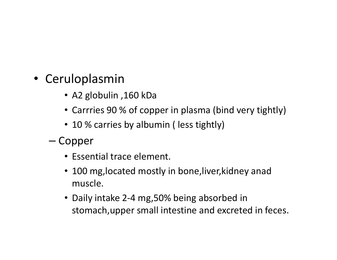- Ceruloplasmin
	- Α2 globulin ,160 kDa
	- Carrries 90 % of copper in plasma (bind very tightly)
	- 10 % carries by albumin ( less tightly)
	- –— Copper
		- Essential trace element.
		- 100 mg,located mostly in bone,liver,kidney anad muscle.
		- Daily intake 2-4 mg,50% being absorbed in stomach,upper small intestine and excreted in feces.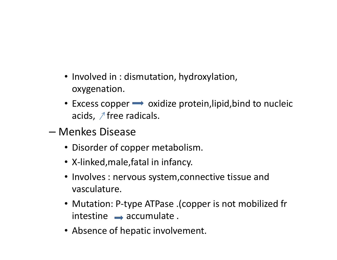- Involved in : dismutation, hydroxylation, oxygenation.
- Excess copper  $\longrightarrow$  oxidize protein,lipid,bind to nucleic acids,  $\sqrt{ }$  free radicals.
- and the state of the state Menkes Disease
	- Disorder of copper metabolism.
	- X-linked,male,fatal in infancy.
	- Involves : nervous system,connective tissue and vasculature.
	- Mutation: P-type ATPase .(copper is not mobilized fr  $intestimate \rightarrow accumulated$ .
	- Absence of hepatic involvement.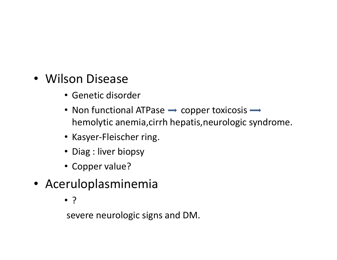- Wilson Disease
	- Genetic disorder
	- Non functional ATPase  $\rightarrow$  copper toxicosis hemolytic anemia,cirrh hepatis,neurologic syndrome.
	- Kasyer-Fleischer ring.
	- Diag : liver biopsy
	- Copper value?
- Aceruloplasminemia
	- ?

severe neurologic signs and DM.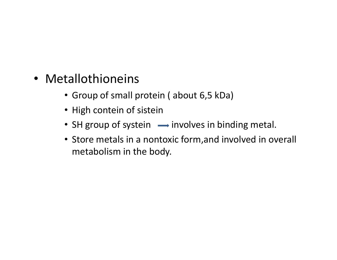- Metallothioneins
	- Group of small protein ( about 6,5 kDa)
	- High contein of sistein
	- SH group of systein  $\longrightarrow$  involves in binding metal.
	- Store metals in a nontoxic form,and involved in overall metabolism in the body.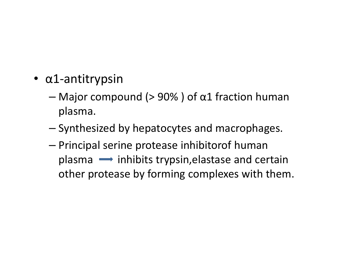- α1-antitrypsin
	- – $-$  Major compound (> 90% ) of  $\alpha1$  fraction human plasma.
	- and the state of the state  $-$  Synthesized by hepatocytes and macrophages.
	- – Principal serine protease inhibitorof human  $plasma \implies$  inhibits trypsin, elastase and certain other protease by forming complexes with them.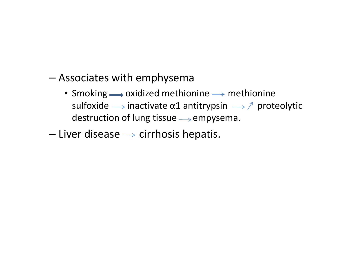- – Associates with emphysema
	- Smoking  $\longrightarrow$  oxidized methionine  $\longrightarrow$  methionine sulfoxide  $\longrightarrow$  inactivate  $\alpha$ 1 antitrypsin  $\longrightarrow \mathcal{A}$  proteolytic destruction of lung tissue  $\rightarrow$  empysema.
- and the state of the state  $-$  Liver disease  $\longrightarrow$  cirrhosis hepatis.